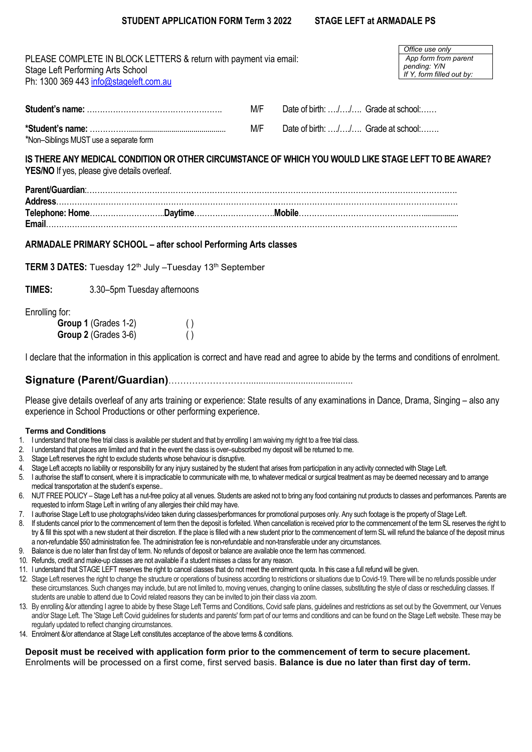| Stage Left Performing Arts School | PLEASE COMPLETE IN BLOCK LETTERS & return with payment via email:<br>Ph: 1300 369 443 info@stageleft.com.au |                                       |                                                                                                      | Office use only<br>App form from parent<br>pending: Y/N<br>If Y, form filled out by: |
|-----------------------------------|-------------------------------------------------------------------------------------------------------------|---------------------------------------|------------------------------------------------------------------------------------------------------|--------------------------------------------------------------------------------------|
|                                   |                                                                                                             | M/F                                   | Date of birth: // Grade at school:                                                                   |                                                                                      |
|                                   | *Non-Siblings MUST use a separate form                                                                      | M/F                                   | Date of birth: // Grade at school:                                                                   |                                                                                      |
|                                   | <b>YES/NO</b> If yes, please give details overleaf.                                                         |                                       | IS THERE ANY MEDICAL CONDITION OR OTHER CIRCUMSTANCE OF WHICH YOU WOULD LIKE STAGE LEFT TO BE AWARE? |                                                                                      |
|                                   |                                                                                                             |                                       |                                                                                                      |                                                                                      |
|                                   |                                                                                                             |                                       |                                                                                                      |                                                                                      |
|                                   | ARMADALE PRIMARY SCHOOL - after school Performing Arts classes                                              |                                       |                                                                                                      |                                                                                      |
|                                   | <b>TERM 3 DATES:</b> Tuesday 12 <sup>th</sup> July $-T$ uesday 13 <sup>th</sup> September                   |                                       |                                                                                                      |                                                                                      |
| <b>TIMES:</b>                     | 3.30–5pm Tuesday afternoons                                                                                 |                                       |                                                                                                      |                                                                                      |
| Enrolling for:                    | Group 1 (Grades 1-2)<br>Group 2 (Grades 3-6)                                                                | $\left( \ \right)$<br>$\left(\right)$ |                                                                                                      |                                                                                      |

I declare that the information in this application is correct and have read and agree to abide by the terms and conditions of enrolment.

## **Signature (Parent/Guardian)**………………………..........................................

Please give details overleaf of any arts training or experience: State results of any examinations in Dance, Drama, Singing – also any experience in School Productions or other performing experience.

## **Terms and Conditions**

- 1. I understand that one free trial class is available per student and that by enrolling I am waiving my right to a free trial class.
- 2. I understand that places are limited and that in the event the class is over–subscribed my deposit will be returned to me.
- 3. Stage Left reserves the right to exclude students whose behaviour is disruptive.
- 4. Stage Left accepts no liability or responsibility for any injury sustained by the student that arises from participation in any activity connected with Stage Left.
- 5. I authorise the staff to consent, where it is impracticable to communicate with me, to whatever medical or surgical treatment as may be deemed necessary and to arrange medical transportation at the student's expense..
- 6. NUT FREE POLICY Stage Left has a nut-free policy at all venues. Students are asked not to bring any food containing nut products to classes and performances. Parents are requested to inform Stage Left in writing of any allergies their child may have.
- 7. I authorise Stage Left to use photographs/video taken during classes/performances for promotional purposes only. Any such footage is the property of Stage Left.
- 8. If students cancel prior to the commencement of term then the deposit is forfeited. When cancellation is received prior to the commencement of the term SL reserves the right to try & fill this spot with a new student at their discretion. If the place is filled with a new student prior to the commencement of term SL will refund the balance of the deposit minus a non-refundable \$50 administration fee. The administration fee is non-refundable and non-transferable under any circumstances.
- 9. Balance is due no later than first day of term. No refunds of deposit or balance are available once the term has commenced.
- 10. Refunds, credit and make-up classes are not available if a student misses a class for any reason.
- 11. I understand that STAGE LEFT reserves the right to cancel classes that do not meet the enrolment quota. In this case a full refund will be given.
- 12. Stage Left reserves the right to change the structure or operations of business according to restrictions or situations due to Covid-19. There will be no refunds possible under these circumstances. Such changes may include, but are not limited to, moving venues, changing to online classes, substituting the style of class or rescheduling classes. If students are unable to attend due to Covid related reasons they can be invited to join their class via zoom.
- 13. By enrolling &/or attending I agree to abide by these Stage Left Terms and Conditions, Covid safe plans, guidelines and restrictions as set out by the Government, our Venues and/or Stage Left. The 'Stage Left Covid guidelines for students and parents' form part of our terms and conditions and can be found on the Stage Left website. These may be regularly updated to reflect changing circumstances.
- 14. Enrolment &/or attendance at Stage Left constitutes acceptance of the above terms & conditions.

## **Deposit must be received with application form prior to the commencement of term to secure placement.** Enrolments will be processed on a first come, first served basis. **Balance is due no later than first day of term.**